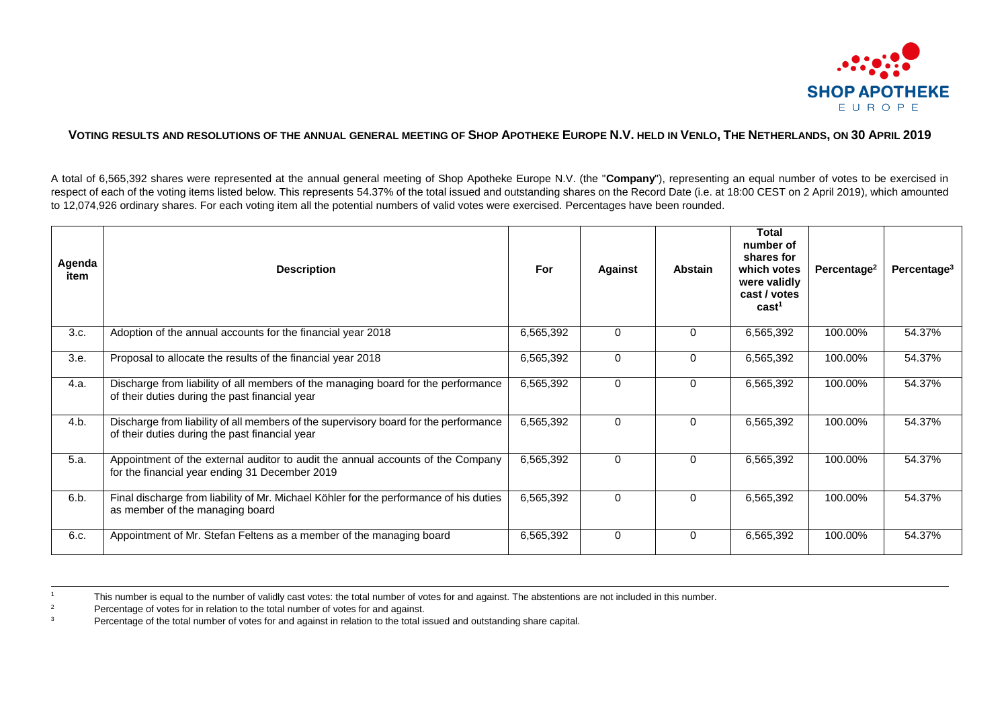

## VOTING RESULTS AND RESOLUTIONS OF THE ANNUAL GENERAL MEETING OF SHOP APOTHEKE EUROPE N.V. HELD IN VENLO, THE NETHERLANDS, ON 30 APRIL 2019

A total of 6,565,392 shares were represented at the annual general meeting of Shop Apotheke Europe N.V. (the "**Company**"), representing an equal number of votes to be exercised in respect of each of the voting items listed below. This represents 54.37% of the total issued and outstanding shares on the Record Date (i.e. at 18:00 CEST on 2 April 2019), which amounted to 12,074,926 ordinary shares. For each voting item all the potential numbers of valid votes were exercised. Percentages have been rounded.

| Agenda<br>item | <b>Description</b>                                                                                                                     | For       | <b>Against</b> | Abstain  | <b>Total</b><br>number of<br>shares for<br>which votes<br>were validly<br>cast / votes<br>cast <sup>1</sup> | Percentage <sup>2</sup> | Percentage <sup>3</sup> |
|----------------|----------------------------------------------------------------------------------------------------------------------------------------|-----------|----------------|----------|-------------------------------------------------------------------------------------------------------------|-------------------------|-------------------------|
| 3.c.           | Adoption of the annual accounts for the financial year 2018                                                                            | 6,565,392 | $\mathbf 0$    | $\Omega$ | 6,565,392                                                                                                   | 100.00%                 | 54.37%                  |
| 3.e.           | Proposal to allocate the results of the financial year 2018                                                                            | 6,565,392 | $\mathbf 0$    | $\Omega$ | 6,565,392                                                                                                   | 100.00%                 | 54.37%                  |
| 4.a.           | Discharge from liability of all members of the managing board for the performance<br>of their duties during the past financial year    | 6,565,392 | $\mathbf 0$    | $\Omega$ | 6,565,392                                                                                                   | 100.00%                 | 54.37%                  |
| 4.b.           | Discharge from liability of all members of the supervisory board for the performance<br>of their duties during the past financial year | 6,565,392 | $\mathbf 0$    | $\Omega$ | 6,565,392                                                                                                   | 100.00%                 | 54.37%                  |
| 5.a.           | Appointment of the external auditor to audit the annual accounts of the Company<br>for the financial year ending 31 December 2019      | 6,565,392 | $\Omega$       | $\Omega$ | 6,565,392                                                                                                   | 100.00%                 | 54.37%                  |
| 6.b.           | Final discharge from liability of Mr. Michael Köhler for the performance of his duties<br>as member of the managing board              | 6,565,392 | $\Omega$       | $\Omega$ | 6,565,392                                                                                                   | 100.00%                 | 54.37%                  |
| 6.c.           | Appointment of Mr. Stefan Feltens as a member of the managing board                                                                    | 6,565,392 | $\mathbf 0$    | $\Omega$ | 6,565,392                                                                                                   | 100.00%                 | 54.37%                  |

<sup>&</sup>lt;sup>1</sup> This number is equal to the number of validly cast votes: the total number of votes for and against. The abstentions are not included in this number.<br>Persontage of votes for in relation to the total number of votes for

 $\overline{a}$ 

<sup>&</sup>lt;sup>2</sup> Percentage of votes for in relation to the total number of votes for and against.

<sup>3</sup> Percentage of the total number of votes for and against in relation to the total issued and outstanding share capital.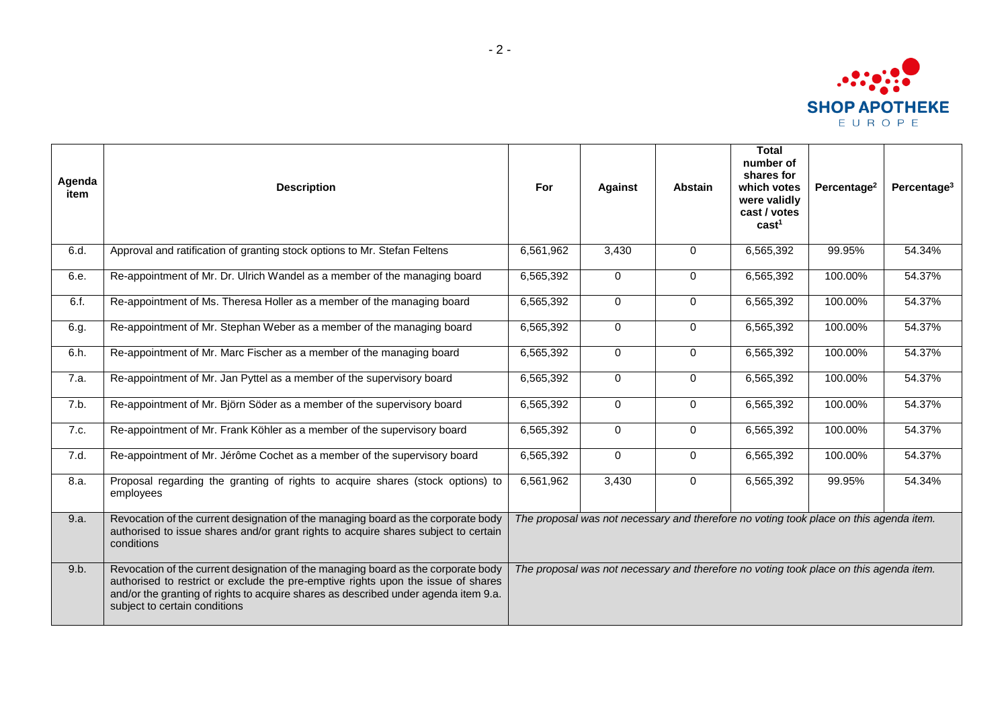

| Agenda<br>item | <b>Description</b>                                                                                                                                                                                                                                                                             | For                                                                                    | <b>Against</b> | <b>Abstain</b> | <b>Total</b><br>number of<br>shares for<br>which votes<br>were validly<br>cast / votes<br>cast <sup>1</sup> | Percentage <sup>2</sup> | Percentage $3$ |  |
|----------------|------------------------------------------------------------------------------------------------------------------------------------------------------------------------------------------------------------------------------------------------------------------------------------------------|----------------------------------------------------------------------------------------|----------------|----------------|-------------------------------------------------------------------------------------------------------------|-------------------------|----------------|--|
| 6.d.           | Approval and ratification of granting stock options to Mr. Stefan Feltens                                                                                                                                                                                                                      | 6,561,962                                                                              | 3,430          | $\Omega$       | 6,565,392                                                                                                   | 99.95%                  | 54.34%         |  |
| 6.e.           | Re-appointment of Mr. Dr. Ulrich Wandel as a member of the managing board                                                                                                                                                                                                                      | 6,565,392                                                                              | $\overline{0}$ | $\mathbf 0$    | 6,565,392                                                                                                   | 100.00%                 | 54.37%         |  |
| 6.f.           | Re-appointment of Ms. Theresa Holler as a member of the managing board                                                                                                                                                                                                                         | 6,565,392                                                                              | $\overline{0}$ | $\mathbf 0$    | 6,565,392                                                                                                   | 100.00%                 | 54.37%         |  |
| 6.g.           | Re-appointment of Mr. Stephan Weber as a member of the managing board                                                                                                                                                                                                                          | 6,565,392                                                                              | $\mathbf 0$    | $\mathbf 0$    | 6,565,392                                                                                                   | 100.00%                 | 54.37%         |  |
| 6.h.           | Re-appointment of Mr. Marc Fischer as a member of the managing board                                                                                                                                                                                                                           | 6,565,392                                                                              | $\mathbf 0$    | $\mathbf 0$    | 6,565,392                                                                                                   | 100.00%                 | 54.37%         |  |
| 7.a.           | Re-appointment of Mr. Jan Pyttel as a member of the supervisory board                                                                                                                                                                                                                          | 6,565,392                                                                              | $\mathbf 0$    | $\overline{0}$ | 6,565,392                                                                                                   | 100.00%                 | 54.37%         |  |
| 7.b.           | Re-appointment of Mr. Björn Söder as a member of the supervisory board                                                                                                                                                                                                                         | 6,565,392                                                                              | $\Omega$       | $\Omega$       | 6,565,392                                                                                                   | 100.00%                 | 54.37%         |  |
| 7.c.           | Re-appointment of Mr. Frank Köhler as a member of the supervisory board                                                                                                                                                                                                                        | 6,565,392                                                                              | $\Omega$       | $\Omega$       | 6,565,392                                                                                                   | 100.00%                 | 54.37%         |  |
| 7.d.           | Re-appointment of Mr. Jérôme Cochet as a member of the supervisory board                                                                                                                                                                                                                       | 6,565,392                                                                              | $\Omega$       | $\Omega$       | 6,565,392                                                                                                   | 100.00%                 | 54.37%         |  |
| 8.a.           | Proposal regarding the granting of rights to acquire shares (stock options) to<br>employees                                                                                                                                                                                                    | 6,561,962                                                                              | 3,430          | $\Omega$       | 6,565,392                                                                                                   | 99.95%                  | 54.34%         |  |
| 9.a.           | Revocation of the current designation of the managing board as the corporate body<br>authorised to issue shares and/or grant rights to acquire shares subject to certain<br>conditions                                                                                                         | The proposal was not necessary and therefore no voting took place on this agenda item. |                |                |                                                                                                             |                         |                |  |
| 9.b.           | Revocation of the current designation of the managing board as the corporate body<br>authorised to restrict or exclude the pre-emptive rights upon the issue of shares<br>and/or the granting of rights to acquire shares as described under agenda item 9.a.<br>subject to certain conditions | The proposal was not necessary and therefore no voting took place on this agenda item. |                |                |                                                                                                             |                         |                |  |